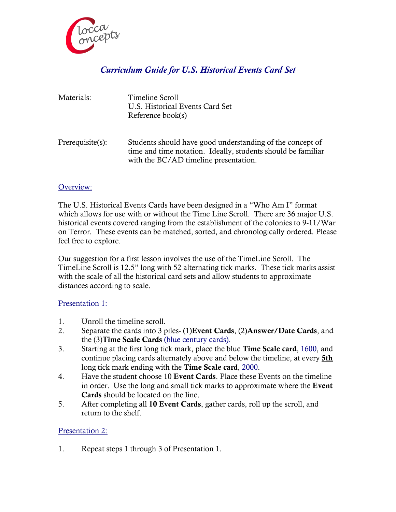

# *Curriculum Guide for U.S. Historical Events Card Set*

| Materials:       | Timeline Scroll<br>U.S. Historical Events Card Set<br>Reference book(s)                                                                                            |
|------------------|--------------------------------------------------------------------------------------------------------------------------------------------------------------------|
| Prerequisite(s): | Students should have good understanding of the concept of<br>time and time notation. Ideally, students should be familiar<br>with the BC/AD timeline presentation. |

## Overview:

The U.S. Historical Events Cards have been designed in a "Who Am I" format which allows for use with or without the Time Line Scroll. There are 36 major U.S. historical events covered ranging from the establishment of the colonies to 9-11/War on Terror. These events can be matched, sorted, and chronologically ordered. Please feel free to explore.

Our suggestion for a first lesson involves the use of the TimeLine Scroll. The TimeLine Scroll is 12.5" long with 52 alternating tick marks. These tick marks assist with the scale of all the historical card sets and allow students to approximate distances according to scale.

#### Presentation 1:

- 1. Unroll the timeline scroll.
- 2. Separate the cards into 3 piles- (1)**Event Cards**, (2)**Answer/Date Cards**, and the (3)**Time Scale Cards** (blue century cards).
- 3. Starting at the first long tick mark, place the blue **Time Scale card**, 1600, and continue placing cards alternately above and below the timeline, at every **5th** long tick mark ending with the **Time Scale card**, 2000.
- 4. Have the student choose 10 **Event Cards**. Place these Events on the timeline in order. Use the long and small tick marks to approximate where the **Event Cards** should be located on the line.
- 5. After completing all **10 Event Cards**, gather cards, roll up the scroll, and return to the shelf.

#### Presentation 2:

1. Repeat steps 1 through 3 of Presentation 1.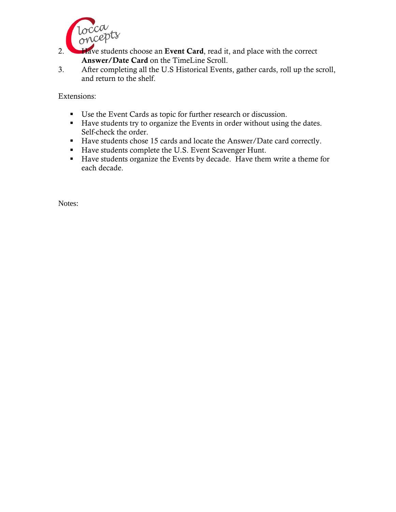

2. **Have students choose an Event Card**, read it, and place with the correct **Answer/Date Card** on the TimeLine Scroll.

3. After completing all the U.S Historical Events, gather cards, roll up the scroll, and return to the shelf.

Extensions:

- Use the Event Cards as topic for further research or discussion.
- Have students try to organize the Events in order without using the dates. Self-check the order.
- Have students chose 15 cards and locate the Answer/Date card correctly.
- Have students complete the U.S. Event Scavenger Hunt.
- $\blacksquare$  Have students organize the Events by decade. Have them write a theme for each decade.

Notes: